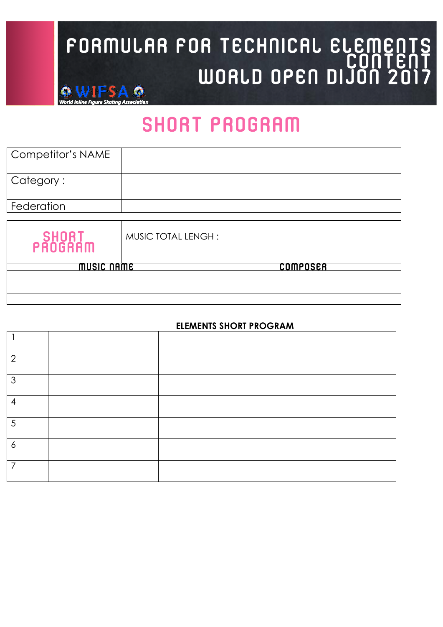## FORMULAR FOR TECHNICAL ELEMENTS<br>CONTENT WORLD OPEN DIJON 2017 **6 WIFSA O**

### SHORT PROGRAM

| <b>Competitor's NAME</b> |                    |          |
|--------------------------|--------------------|----------|
| Category:                |                    |          |
| Federation               |                    |          |
|                          |                    |          |
| SHORT<br>PROGRAM         | MUSIC TOTAL LENGH: |          |
| MUSIC NAME               |                    | COMPOSER |
|                          |                    |          |
|                          |                    |          |
|                          |                    |          |

### **ELEMENTS SHORT PROGRAM**

| റ |  |
|---|--|
| 3 |  |
| 4 |  |
| 5 |  |
| 6 |  |
| 7 |  |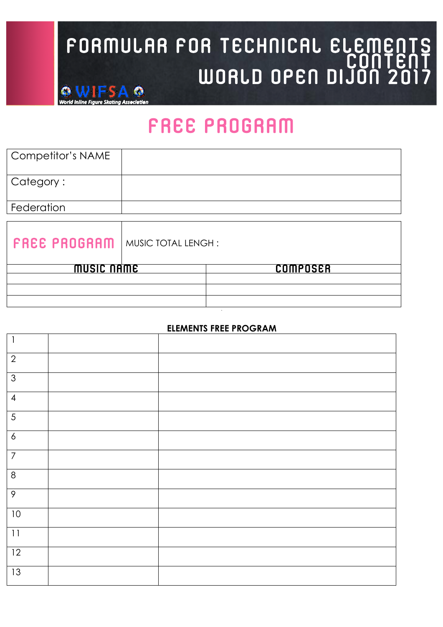## FORMULAR FOR TECHNICAL ELEMENTS<br>CONTENT WORLD OPEN DIJON 2017 **6 WIFSA O**

### free PROGRAM

| <b>Competitor's NAME</b> |                    |          |
|--------------------------|--------------------|----------|
| Category:                |                    |          |
| Federation               |                    |          |
|                          |                    |          |
| <b>FREE PROGRAM</b>      | MUSIC TOTAL LENGH: |          |
| <b>MUSIC NAME</b>        |                    | COMPOSER |
|                          |                    |          |
|                          |                    |          |
|                          |                    |          |

### **ELEMENTS FREE PROGRAM**

**.**

| $\mathbf{I}$    |  |
|-----------------|--|
| $\overline{2}$  |  |
| $\mathfrak{Z}$  |  |
| $\overline{4}$  |  |
| $\overline{5}$  |  |
| $\pmb{\delta}$  |  |
| $\overline{7}$  |  |
| $\,8\,$         |  |
| $\mathcal{P}$   |  |
| 10              |  |
| 11              |  |
| 12              |  |
| $\overline{13}$ |  |